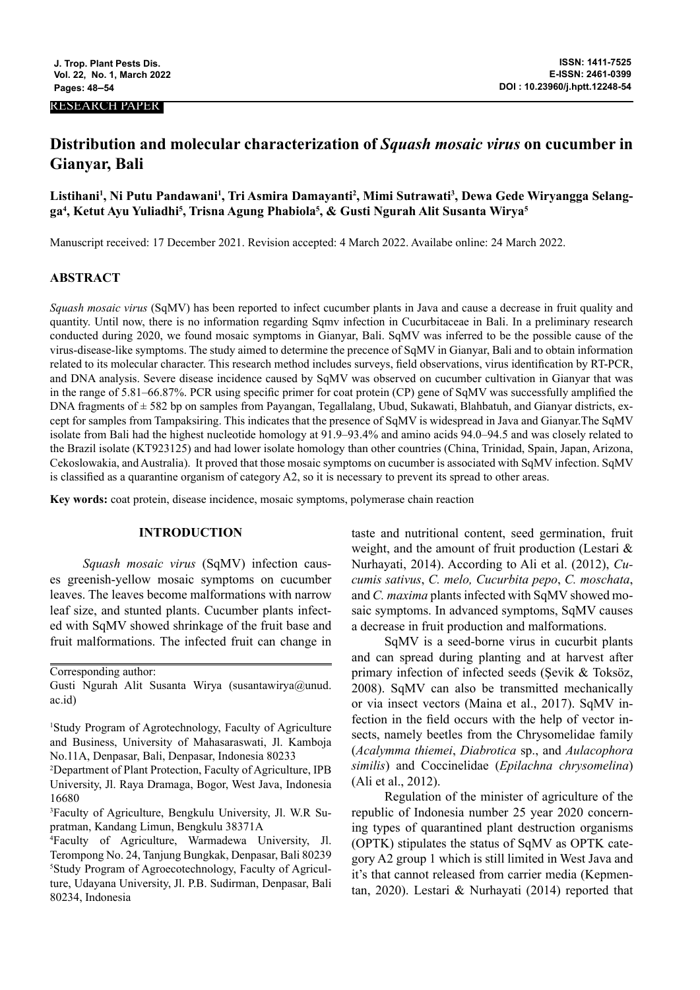#### RESEARCH PAPER

# **Distribution and molecular characterization of** *Squash mosaic virus* **on cucumber in Gianyar, Bali**

# Listihani<sup>1</sup>, Ni Putu Pandawani<sup>1</sup>, Tri Asmira Damayanti<sup>2</sup>, Mimi Sutrawati<sup>3</sup>, Dewa Gede Wiryangga Selangga<sup>4</sup>, Ketut Ayu Yuliadhi<sup>5</sup>, Trisna Agung Phabiola<sup>5</sup>, & Gusti Ngurah Alit Susanta Wirya<sup>5</sup>

Manuscript received: 17 December 2021. Revision accepted: 4 March 2022. Availabe online: 24 March 2022.

# **ABSTRACT**

*Squash mosaic virus* (SqMV) has been reported to infect cucumber plants in Java and cause a decrease in fruit quality and quantity. Until now, there is no information regarding Sqmv infection in Cucurbitaceae in Bali. In a preliminary research conducted during 2020, we found mosaic symptoms in Gianyar, Bali. SqMV was inferred to be the possible cause of the virus-disease-like symptoms. The study aimed to determine the precence of SqMV in Gianyar, Bali and to obtain information related to its molecular character. This research method includes surveys, field observations, virus identification by RT-PCR, and DNA analysis. Severe disease incidence caused by SqMV was observed on cucumber cultivation in Gianyar that was in the range of 5.81–66.87%. PCR using specific primer for coat protein (CP) gene of SqMV was successfully amplified the DNA fragments of  $\pm$  582 bp on samples from Payangan, Tegallalang, Ubud, Sukawati, Blahbatuh, and Gianyar districts, except for samples from Tampaksiring. This indicates that the presence of SqMV is widespread in Java and Gianyar.The SqMV isolate from Bali had the highest nucleotide homology at 91.9–93.4% and amino acids 94.0–94.5 and was closely related to the Brazil isolate (KT923125) and had lower isolate homology than other countries (China, Trinidad, Spain, Japan, Arizona, Cekoslowakia, and Australia). It proved that those mosaic symptoms on cucumber is associated with SqMV infection. SqMV is classified as a quarantine organism of category A2, so it is necessary to prevent its spread to other areas.

**Key words:** coat protein, disease incidence, mosaic symptoms, polymerase chain reaction

## **INTRODUCTION**

*Squash mosaic virus* (SqMV) infection causes greenish-yellow mosaic symptoms on cucumber leaves. The leaves become malformations with narrow leaf size, and stunted plants. Cucumber plants infected with SqMV showed shrinkage of the fruit base and fruit malformations. The infected fruit can change in

Corresponding author:

taste and nutritional content, seed germination, fruit weight, and the amount of fruit production (Lestari & Nurhayati, 2014). According to Ali et al. (2012), *Cucumis sativus*, *C. melo, Cucurbita pepo*, *C. moschata*, and *C. maxima* plants infected with SqMV showed mosaic symptoms. In advanced symptoms, SqMV causes a decrease in fruit production and malformations.

SqMV is a seed-borne virus in cucurbit plants and can spread during planting and at harvest after primary infection of infected seeds (Şevik & Toksöz, 2008). SqMV can also be transmitted mechanically or via insect vectors (Maina et al., 2017). SqMV infection in the field occurs with the help of vector insects, namely beetles from the Chrysomelidae family (*Acalymma thiemei*, *Diabrotica* sp., and *Aulacophora similis*) and Coccinelidae (*Epilachna chrysomelina*) (Ali et al., 2012).

Regulation of the minister of agriculture of the republic of Indonesia number 25 year 2020 concerning types of quarantined plant destruction organisms (OPTK) stipulates the status of SqMV as OPTK category A2 group 1 which is still limited in West Java and it's that cannot released from carrier media (Kepmentan, 2020). Lestari & Nurhayati (2014) reported that

Gusti Ngurah Alit Susanta Wirya (susantawirya@unud. ac.id)

<sup>1</sup> Study Program of Agrotechnology, Faculty of Agriculture and Business, University of Mahasaraswati, Jl. Kamboja No.11A, Denpasar, Bali, Denpasar, Indonesia 80233

<sup>2</sup> Department of Plant Protection, Faculty of Agriculture, IPB University, Jl. Raya Dramaga, Bogor, West Java, Indonesia 16680

<sup>3</sup> Faculty of Agriculture, Bengkulu University, Jl. W.R Supratman, Kandang Limun, Bengkulu 38371A

<sup>4</sup> Faculty of Agriculture, Warmadewa University, Jl. Terompong No. 24, Tanjung Bungkak, Denpasar, Bali 80239 5 Study Program of Agroecotechnology, Faculty of Agriculture, Udayana University, Jl. P.B. Sudirman, Denpasar, Bali 80234, Indonesia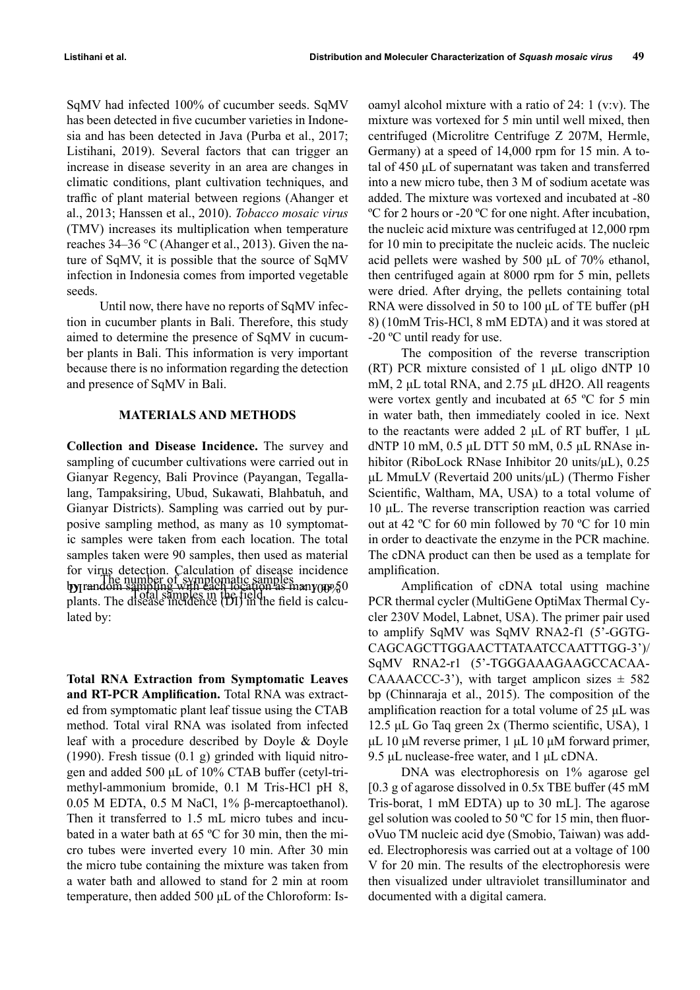SqMV had infected 100% of cucumber seeds. SqMV has been detected in five cucumber varieties in Indonesia and has been detected in Java (Purba et al., 2017; Listihani, 2019). Several factors that can trigger an increase in disease severity in an area are changes in climatic conditions, plant cultivation techniques, and traffic of plant material between regions (Ahanger et al., 2013; Hanssen et al., 2010). *Tobacco mosaic virus* (TMV) increases its multiplication when temperature reaches 34–36 °C (Ahanger et al., 2013). Given the nature of SqMV, it is possible that the source of SqMV infection in Indonesia comes from imported vegetable seeds.

Until now, there have no reports of SqMV infection in cucumber plants in Bali. Therefore, this study aimed to determine the presence of SqMV in cucumber plants in Bali. This information is very important because there is no information regarding the detection and presence of SqMV in Bali.

#### **MATERIALS AND METHODS**

**Collection and Disease Incidence.** The survey and sampling of cucumber cultivations were carried out in Gianyar Regency, Bali Province (Payangan, Tegallalang, Tampaksiring, Ubud, Sukawati, Blahbatuh, and Gianyar Districts). Sampling was carried out by purposive sampling method, as many as 10 symptomatic samples were taken from each location. The total samples taken were 90 samples, then used as material for virus detection. Calculation of disease incidence  $by$  random sampling with each location as  $may_{0}$ For the number of symptomatic samples<br>
by random sampling with each location as many  $\gamma_0$ lated by:

**Total RNA Extraction from Symptomatic Leaves and RT-PCR Amplification.** Total RNA was extracted from symptomatic plant leaf tissue using the CTAB method. Total viral RNA was isolated from infected leaf with a procedure described by Doyle & Doyle (1990). Fresh tissue  $(0.1 \text{ g})$  grinded with liquid nitrogen and added 500 μL of 10% CTAB buffer (cetyl-trimethyl-ammonium bromide, 0.1 M Tris-HCl pH 8, 0.05 M EDTA, 0.5 M NaCl, 1% β-mercaptoethanol). Then it transferred to 1.5 mL micro tubes and incubated in a water bath at 65 ºC for 30 min, then the micro tubes were inverted every 10 min. After 30 min the micro tube containing the mixture was taken from a water bath and allowed to stand for 2 min at room temperature, then added 500 μL of the Chloroform: Is-

oamyl alcohol mixture with a ratio of 24: 1 (v:v). The mixture was vortexed for 5 min until well mixed, then centrifuged (Microlitre Centrifuge Z 207M, Hermle, Germany) at a speed of 14,000 rpm for 15 min. A total of 450 μL of supernatant was taken and transferred into a new micro tube, then 3 M of sodium acetate was added. The mixture was vortexed and incubated at -80 ºC for 2 hours or -20 ºC for one night. After incubation, the nucleic acid mixture was centrifuged at 12,000 rpm for 10 min to precipitate the nucleic acids. The nucleic acid pellets were washed by 500 μL of 70% ethanol, then centrifuged again at 8000 rpm for 5 min, pellets were dried. After drying, the pellets containing total RNA were dissolved in 50 to 100 μL of TE buffer (pH 8) (10mM Tris-HCl, 8 mM EDTA) and it was stored at -20 ºC until ready for use.

The composition of the reverse transcription (RT) PCR mixture consisted of 1 μL oligo dNTP 10 mM, 2 μL total RNA, and 2.75 μL dH2O. All reagents were vortex gently and incubated at 65 ºC for 5 min in water bath, then immediately cooled in ice. Next to the reactants were added 2 μL of RT buffer, 1 μL dNTP 10 mM, 0.5 μL DTT 50 mM, 0.5 μL RNAse inhibitor (RiboLock RNase Inhibitor 20 units/μL), 0.25 μL MmuLV (Revertaid 200 units/μL) (Thermo Fisher Scientific, Waltham, MA, USA) to a total volume of 10 μL. The reverse transcription reaction was carried out at 42 ºC for 60 min followed by 70 ºC for 10 min in order to deactivate the enzyme in the PCR machine. The cDNA product can then be used as a template for amplification.

Amplification of cDNA total using machine PCR thermal cycler (MultiGene OptiMax Thermal Cycler 230V Model, Labnet, USA). The primer pair used to amplify SqMV was SqMV RNA2-f1 (5'-GGTG-CAGCAGCTTGGAACTTATAATCCAATTTGG-3')/ SqMV RNA2-r1 (5'-TGGGAAAGAAGCCACAA-CAAAACCC-3'), with target amplicon sizes  $\pm$  582 bp (Chinnaraja et al., 2015). The composition of the amplification reaction for a total volume of 25 μL was 12.5 μL Go Taq green 2x (Thermo scientific, USA), 1 μL 10 μM reverse primer, 1 μL 10 μM forward primer, 9.5 μL nuclease-free water, and 1 μL cDNA.

DNA was electrophoresis on 1% agarose gel [0.3 g of agarose dissolved in 0.5x TBE buffer (45 mM Tris-borat, 1 mM EDTA) up to 30 mL]. The agarose gel solution was cooled to 50 ºC for 15 min, then fluoroVuo TM nucleic acid dye (Smobio, Taiwan) was added. Electrophoresis was carried out at a voltage of 100 V for 20 min. The results of the electrophoresis were then visualized under ultraviolet transilluminator and documented with a digital camera.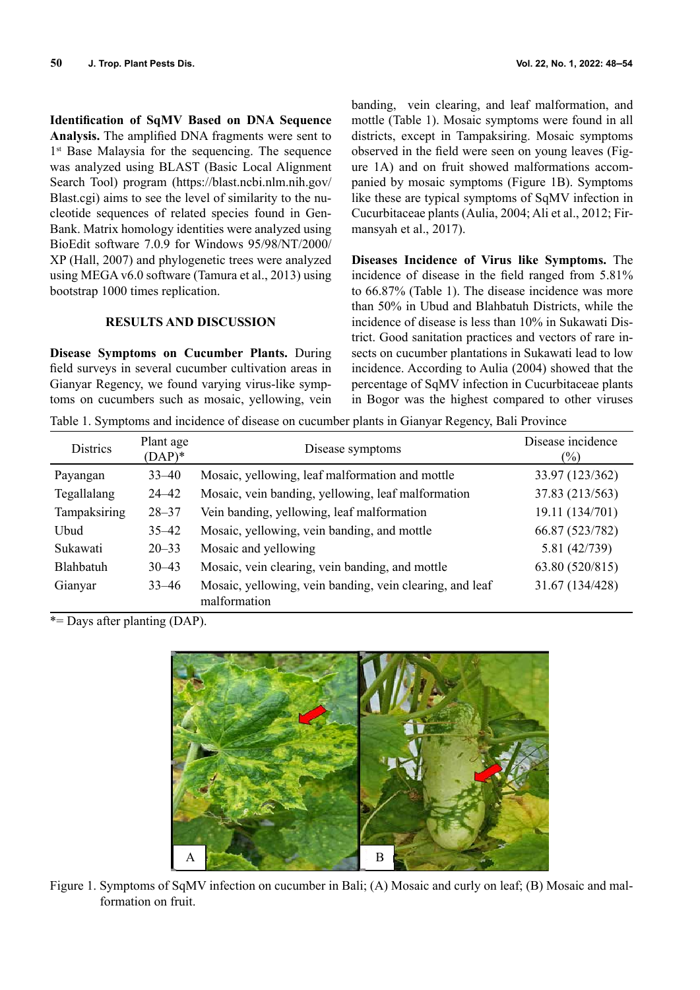**Identification of SqMV Based on DNA Sequence Analysis.** The amplified DNA fragments were sent to 1<sup>st</sup> Base Malaysia for the sequencing. The sequence was analyzed using BLAST (Basic Local Alignment Search Tool) program (https://blast.ncbi.nlm.nih.gov/ Blast.cgi) aims to see the level of similarity to the nucleotide sequences of related species found in Gen-Bank. Matrix homology identities were analyzed using BioEdit software 7.0.9 for Windows 95/98/NT/2000/ XP (Hall, 2007) and phylogenetic trees were analyzed using MEGA v6.0 software (Tamura et al., 2013) using bootstrap 1000 times replication.

### **RESULTS AND DISCUSSION**

**Disease Symptoms on Cucumber Plants.** During field surveys in several cucumber cultivation areas in Gianyar Regency, we found varying virus-like symptoms on cucumbers such as mosaic, yellowing, vein

banding, vein clearing, and leaf malformation, and mottle (Table 1). Mosaic symptoms were found in all districts, except in Tampaksiring. Mosaic symptoms observed in the field were seen on young leaves (Figure 1A) and on fruit showed malformations accompanied by mosaic symptoms (Figure 1B). Symptoms like these are typical symptoms of SqMV infection in Cucurbitaceae plants (Aulia, 2004; Ali et al., 2012; Firmansyah et al., 2017).

**Diseases Incidence of Virus like Symptoms.** The incidence of disease in the field ranged from 5.81% to 66.87% (Table 1). The disease incidence was more than 50% in Ubud and Blahbatuh Districts, while the incidence of disease is less than 10% in Sukawati District. Good sanitation practices and vectors of rare insects on cucumber plantations in Sukawati lead to low incidence. According to Aulia (2004) showed that the percentage of SqMV infection in Cucurbitaceae plants in Bogor was the highest compared to other viruses

Table 1. Symptoms and incidence of disease on cucumber plants in Gianyar Regency, Bali Province

| <b>Districs</b> | Plant age<br>$(DAP)^*$ | Disease symptoms                                                         | Disease incidence<br>$\frac{1}{2}$ |
|-----------------|------------------------|--------------------------------------------------------------------------|------------------------------------|
| Payangan        | $33 - 40$              | Mosaic, yellowing, leaf malformation and mottle                          | 33.97 (123/362)                    |
| Tegallalang     | $24 - 42$              | Mosaic, vein banding, yellowing, leaf malformation                       | 37.83 (213/563)                    |
| Tampaksiring    | $28 - 37$              | Vein banding, yellowing, leaf malformation                               | 19.11 (134/701)                    |
| Ubud            | $35 - 42$              | Mosaic, yellowing, vein banding, and mottle                              | 66.87 (523/782)                    |
| Sukawati        | $20 - 33$              | Mosaic and yellowing                                                     | 5.81 (42/739)                      |
| Blahbatuh       | $30 - 43$              | Mosaic, vein clearing, vein banding, and mottle                          | 63.80 (520/815)                    |
| Gianyar         | $33 - 46$              | Mosaic, yellowing, vein banding, vein clearing, and leaf<br>malformation | 31.67 (134/428)                    |

\*= Days after planting (DAP).



Figure 1. Symptoms of SqMV infection on cucumber in Bali; (A) Mosaic and curly on leaf; (B) Mosaic and malformation on fruit.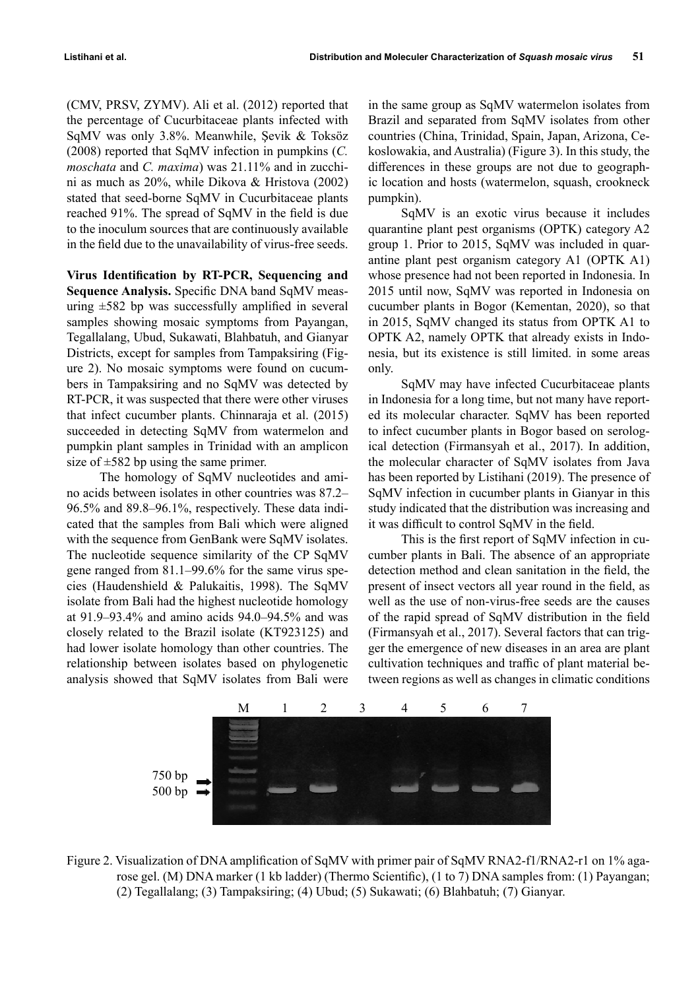(CMV, PRSV, ZYMV). Ali et al. (2012) reported that the percentage of Cucurbitaceae plants infected with SqMV was only 3.8%. Meanwhile, Şevik & Toksöz (2008) reported that SqMV infection in pumpkins (*C. moschata* and *C. maxima*) was 21.11% and in zucchini as much as 20%, while Dikova & Hristova (2002) stated that seed-borne SqMV in Cucurbitaceae plants reached 91%. The spread of SqMV in the field is due to the inoculum sources that are continuously available in the field due to the unavailability of virus-free seeds.

**Virus Identification by RT-PCR, Sequencing and Sequence Analysis.** Specific DNA band SqMV measuring  $\pm 582$  bp was successfully amplified in several samples showing mosaic symptoms from Payangan, Tegallalang, Ubud, Sukawati, Blahbatuh, and Gianyar Districts, except for samples from Tampaksiring (Figure 2). No mosaic symptoms were found on cucumbers in Tampaksiring and no SqMV was detected by RT-PCR, it was suspected that there were other viruses that infect cucumber plants. Chinnaraja et al. (2015) succeeded in detecting SqMV from watermelon and pumpkin plant samples in Trinidad with an amplicon size of  $\pm 582$  bp using the same primer.

The homology of SqMV nucleotides and amino acids between isolates in other countries was 87.2– 96.5% and 89.8–96.1%, respectively. These data indicated that the samples from Bali which were aligned with the sequence from GenBank were SqMV isolates. The nucleotide sequence similarity of the CP SqMV gene ranged from 81.1–99.6% for the same virus species (Haudenshield & Palukaitis, 1998). The SqMV isolate from Bali had the highest nucleotide homology at 91.9–93.4% and amino acids 94.0–94.5% and was closely related to the Brazil isolate (KT923125) and had lower isolate homology than other countries. The relationship between isolates based on phylogenetic analysis showed that SqMV isolates from Bali were

in the same group as SqMV watermelon isolates from Brazil and separated from SqMV isolates from other countries (China, Trinidad, Spain, Japan, Arizona, Cekoslowakia, and Australia) (Figure 3). In this study, the differences in these groups are not due to geographic location and hosts (watermelon, squash, crookneck pumpkin).

SqMV is an exotic virus because it includes quarantine plant pest organisms (OPTK) category A2 group 1. Prior to 2015, SqMV was included in quarantine plant pest organism category A1 (OPTK A1) whose presence had not been reported in Indonesia. In 2015 until now, SqMV was reported in Indonesia on cucumber plants in Bogor (Kementan, 2020), so that in 2015, SqMV changed its status from OPTK A1 to OPTK A2, namely OPTK that already exists in Indonesia, but its existence is still limited. in some areas only.

SqMV may have infected Cucurbitaceae plants in Indonesia for a long time, but not many have reported its molecular character. SqMV has been reported to infect cucumber plants in Bogor based on serological detection (Firmansyah et al., 2017). In addition, the molecular character of SqMV isolates from Java has been reported by Listihani (2019). The presence of SqMV infection in cucumber plants in Gianyar in this study indicated that the distribution was increasing and it was difficult to control SqMV in the field.

This is the first report of SqMV infection in cucumber plants in Bali. The absence of an appropriate detection method and clean sanitation in the field, the present of insect vectors all year round in the field, as well as the use of non-virus-free seeds are the causes of the rapid spread of SqMV distribution in the field (Firmansyah et al., 2017). Several factors that can trigger the emergence of new diseases in an area are plant cultivation techniques and traffic of plant material between regions as well as changes in climatic conditions



Figure 2. Visualization of DNA amplification of SqMV with primer pair of SqMV RNA2-f1/RNA2-r1 on 1% agarose gel. (M) DNA marker (1 kb ladder) (Thermo Scientific), (1 to 7) DNA samples from: (1) Payangan; (2) Tegallalang; (3) Tampaksiring; (4) Ubud; (5) Sukawati; (6) Blahbatuh; (7) Gianyar.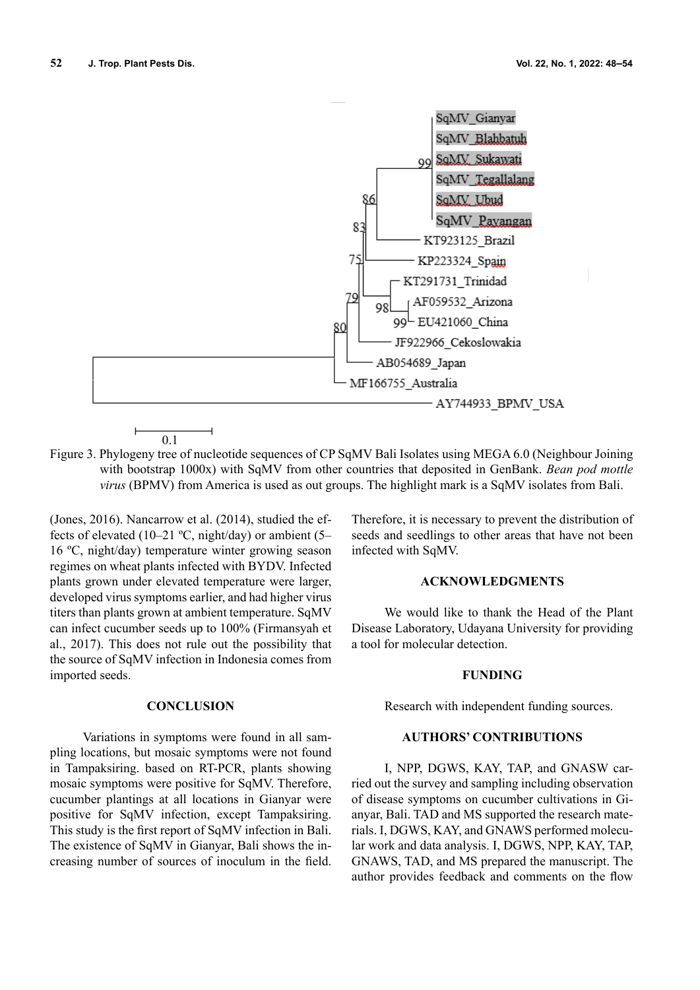

Figure 3. Phylogeny tree of nucleotide sequences of CP SqMV Bali Isolates using MEGA 6.0 (Neighbour Joining with bootstrap 1000x) with SqMV from other countries that deposited in GenBank. *Bean pod mottle virus* (BPMV) from America is used as out groups. The highlight mark is a SqMV isolates from Bali.

(Jones, 2016). Nancarrow et al. (2014), studied the effects of elevated (10–21 °C, night/day) or ambient (5– 16 ºC, night/day) temperature winter growing season regimes on wheat plants infected with BYDV. Infected plants grown under elevated temperature were larger, developed virus symptoms earlier, and had higher virus titers than plants grown at ambient temperature. SqMV can infect cucumber seeds up to 100% (Firmansyah et al., 2017). This does not rule out the possibility that the source of SqMV infection in Indonesia comes from imported seeds.

#### **CONCLUSION**

Variations in symptoms were found in all sampling locations, but mosaic symptoms were not found in Tampaksiring. based on RT-PCR, plants showing mosaic symptoms were positive for SqMV. Therefore, cucumber plantings at all locations in Gianyar were positive for SqMV infection, except Tampaksiring. This study is the first report of SqMV infection in Bali. The existence of SqMV in Gianyar, Bali shows the increasing number of sources of inoculum in the field.

Therefore, it is necessary to prevent the distribution of seeds and seedlings to other areas that have not been infected with SqMV.

#### **ACKNOWLEDGMENTS**

We would like to thank the Head of the Plant Disease Laboratory, Udayana University for providing a tool for molecular detection.

#### **FUNDING**

Research with independent funding sources.

#### **AUTHORS' CONTRIBUTIONS**

I, NPP, DGWS, KAY, TAP, and GNASW carried out the survey and sampling including observation of disease symptoms on cucumber cultivations in Gianyar, Bali. TAD and MS supported the research materials. I, DGWS, KAY, and GNAWS performed molecular work and data analysis. I, DGWS, NPP, KAY, TAP, GNAWS, TAD, and MS prepared the manuscript. The author provides feedback and comments on the flow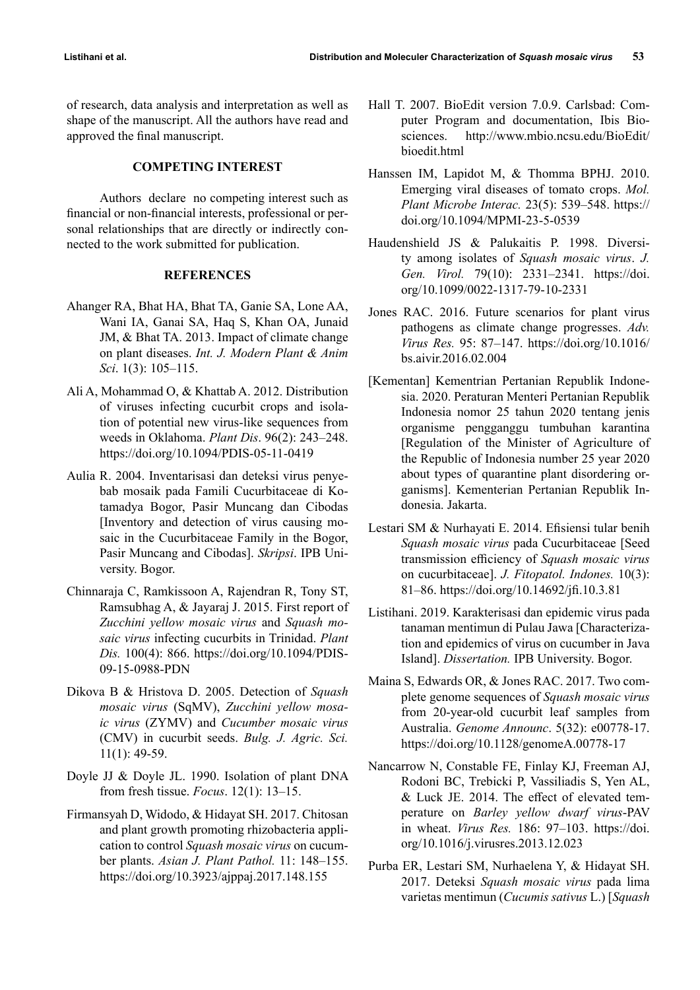of research, data analysis and interpretation as well as shape of the manuscript. All the authors have read and approved the final manuscript.

## **COMPETING INTEREST**

Authors declare no competing interest such as financial or non-financial interests, professional or personal relationships that are directly or indirectly connected to the work submitted for publication.

### **REFERENCES**

- Ahanger RA, Bhat HA, Bhat TA, Ganie SA, Lone AA, Wani IA, Ganai SA, Haq S, Khan OA, Junaid JM, & Bhat TA. 2013. Impact of climate change on plant diseases. *Int. J. Modern Plant & Anim Sci*. 1(3): 105–115.
- Ali A, Mohammad O, & Khattab A. 2012. Distribution of viruses infecting cucurbit crops and isolation of potential new virus-like sequences from weeds in Oklahoma. *Plant Dis*. 96(2): 243–248. https://doi.org/10.1094/PDIS-05-11-0419
- Aulia R. 2004. Inventarisasi dan deteksi virus penyebab mosaik pada Famili Cucurbitaceae di Kotamadya Bogor, Pasir Muncang dan Cibodas [Inventory and detection of virus causing mosaic in the Cucurbitaceae Family in the Bogor, Pasir Muncang and Cibodas]. *Skripsi*. IPB University. Bogor.
- Chinnaraja C, Ramkissoon A, Rajendran R, Tony ST, Ramsubhag A, & Jayaraj J. 2015. First report of *Zucchini yellow mosaic virus* and *Squash mosaic virus* infecting cucurbits in Trinidad. *Plant Dis.* 100(4): 866. https://doi.org/10.1094/PDIS-09-15-0988-PDN
- Dikova B & Hristova D. 2005. Detection of *Squash mosaic virus* (SqMV), *Zucchini yellow mosaic virus* (ZYMV) and *Cucumber mosaic virus*  (CMV) in cucurbit seeds. *Bulg. J. Agric. Sci.*  11(1): 49-59.
- Doyle JJ & Doyle JL. 1990. Isolation of plant DNA from fresh tissue. *Focus*. 12(1): 13–15.
- Firmansyah D, Widodo, & Hidayat SH. 2017. Chitosan and plant growth promoting rhizobacteria application to control *Squash mosaic virus* on cucumber plants. *Asian J. Plant Pathol.* 11: 148–155. https://doi.org/10.3923/ajppaj.2017.148.155
- Hall T. 2007. BioEdit version 7.0.9. Carlsbad: Computer Program and documentation, Ibis Biosciences. http://www.mbio.ncsu.edu/BioEdit/ bioedit.html
- Hanssen IM, Lapidot M, & Thomma BPHJ. 2010. Emerging viral diseases of tomato crops. *Mol. Plant Microbe Interac.* 23(5): 539–548. https:// doi.org/10.1094/MPMI-23-5-0539
- Haudenshield JS & Palukaitis P. 1998. Diversity among isolates of *Squash mosaic virus*. *J. Gen. Virol.* 79(10): 2331–2341. https://doi. org/10.1099/0022-1317-79-10-2331
- Jones RAC. 2016. Future scenarios for plant virus pathogens as climate change progresses. *Adv. Virus Res.* 95: 87–147. https://doi.org/10.1016/ bs.aivir.2016.02.004
- [Kementan] Kementrian Pertanian Republik Indonesia. 2020. Peraturan Menteri Pertanian Republik Indonesia nomor 25 tahun 2020 tentang jenis organisme pengganggu tumbuhan karantina [Regulation of the Minister of Agriculture of the Republic of Indonesia number 25 year 2020 about types of quarantine plant disordering organisms]. Kementerian Pertanian Republik Indonesia. Jakarta.
- Lestari SM & Nurhayati E. 2014. Efisiensi tular benih *Squash mosaic virus* pada Cucurbitaceae [Seed transmission efficiency of *Squash mosaic virus* on cucurbitaceae]. *J. Fitopatol. Indones.* 10(3): 81–86. https://doi.org/10.14692/jfi.10.3.81
- Listihani. 2019. Karakterisasi dan epidemic virus pada tanaman mentimun di Pulau Jawa [Characterization and epidemics of virus on cucumber in Java Island]. *Dissertation.* IPB University. Bogor.
- Maina S, Edwards OR, & Jones RAC. 2017. Two complete genome sequences of *Squash mosaic virus*  from 20-year-old cucurbit leaf samples from Australia. *Genome Announc*. 5(32): e00778-17. https://doi.org/10.1128/genomeA.00778-17
- Nancarrow N, Constable FE, Finlay KJ, Freeman AJ, Rodoni BC, Trebicki P, Vassiliadis S, Yen AL, & Luck JE. 2014. The effect of elevated temperature on *Barley yellow dwarf virus*-PAV in wheat. *Virus Res.* 186: 97–103. https://doi. org/10.1016/j.virusres.2013.12.023
- Purba ER, Lestari SM, Nurhaelena Y, & Hidayat SH. 2017. Deteksi *Squash mosaic virus* pada lima varietas mentimun (*Cucumis sativus* L.) [*Squash*